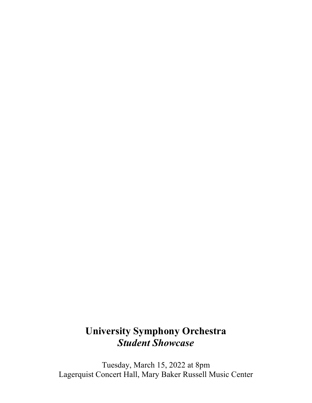# **University Symphony Orchestra** *Student Showcase*

Tuesday, March 15, 2022 at 8pm Lagerquist Concert Hall, Mary Baker Russell Music Center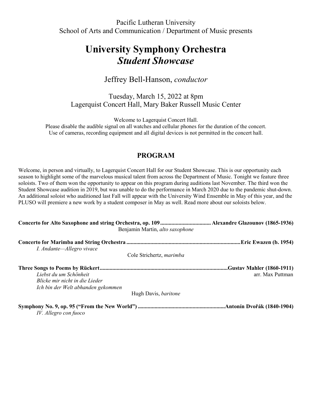Pacific Lutheran University School of Arts and Communication / Department of Music presents

## **University Symphony Orchestra** *Student Showcase*

## Jeffrey Bell-Hanson, *conductor*

Tuesday, March 15, 2022 at 8pm Lagerquist Concert Hall, Mary Baker Russell Music Center

Welcome to Lagerquist Concert Hall.

Please disable the audible signal on all watches and cellular phones for the duration of the concert. Use of cameras, recording equipment and all digital devices is not permitted in the concert hall.

### **PROGRAM**

Welcome, in person and virtually, to Lagerquist Concert Hall for our Student Showcase. This is our opportunity each season to highlight some of the marvelous musical talent from across the Department of Music. Tonight we feature three soloists. Two of them won the opportunity to appear on this program during auditions last November. The third won the Student Showcase audition in 2019, but was unable to do the performance in March 2020 due to the pandemic shut-down. An additional soloist who auditioned last Fall will appear with the University Wind Ensemble in May of this year, and the PLUSO will premiere a new work by a student composer in May as well. Read more about our soloists below.

| Benjamin Martin, alto saxophone                                                                |                  |
|------------------------------------------------------------------------------------------------|------------------|
| I. Andante-Allegro vivace                                                                      |                  |
| Cole Strichertz, marimba                                                                       |                  |
| Liebst du um Schönheit<br>Blicke mir nicht in die Lieder<br>Ich bin der Welt abhanden gekommen | arr. Max Puttman |
| Hugh Davis, baritone                                                                           |                  |
| IV. Allegro con fuoco                                                                          |                  |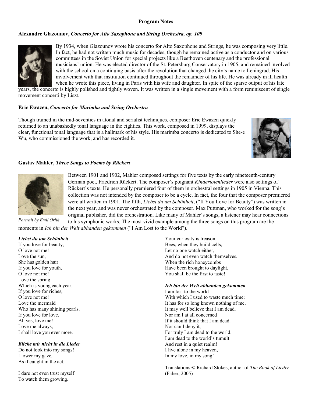#### **Program Notes**

### **Alexandre Glazounov,** *Concerto for Alto Saxophone and String Orchestra, op. 109*



By 1934, when Glazounov wrote his concerto for Alto Saxophone and Strings, he was composing very little. In fact, he had not written much music for decades, though he remained active as a conductor and on various committees in the Soviet Union for special projects like a Beethoven centenary and the professional musicians' union. He was elected director of the St. Petersburg Conservatory in 1905, and remained involved with the school on a continuing basis after the revolution that changed the city's name to Leningrad. His involvement with that institution continued throughout the remainder of his life. He was already in ill health when he wrote this piece, living in Paris with his wife and daughter. In spite of the sparse output of his late

years, the concerto is highly polished and tightly woven. It was written in a single movement with a form reminiscent of single movement concerti by Liszt.

#### **Eric Ewazen,** *Concerto for Marimba and String Orchestra*

Though trained in the mid-seventies in atonal and serialist techniques, composer Eric Ewazen quickly returned to an unabashedly tonal language in the eighties. This work, composed in 1999, displays the clear, functional tonal language that is a hallmark of his style. His marimba concerto is dedicated to She-e Wu, who commissioned the work, and has recorded it.



#### **Gustav Mahler,** *Three Songs to Poems by Rückert*



Between 1901 and 1902, Mahler composed settings for five texts by the early nineteenth-century German poet, Friedrich Rückert. The composer's poignant *Kindertotenlieder* were also settings of Rückert's texts. He personally premiered four of them in orchestral settings in 1905 in Vienna. This collection was not intended by the composer to be a cycle. In fact, the four that the composer premiered were all written in 1901. The fifth, *Liebst du um Schönheit*, ("If You Love for Beauty") was written in the next year, and was never orchestrated by the composer. Max Puttman, who worked for the song's original publisher, did the orchestration. Like many of Mahler's songs, a listener may hear connections

to his symphonic works. The most vivid example among the three songs on this program are the moments in *Ich bin der Welt abhanden gekommen* ("I Am Lost to the World"). *Portrait by Emil Orlik*

#### *Liebst du um Schönheit*

If you love for beauty, O love not me! Love the sun, She has golden hair. If you love for youth, O love not me! Love the spring Which is young each year. If you love for riches, O love not me! Love the mermaid Who has many shining pearls. If you love for love, Ah yes, love me! Love me always, I shall love you ever more.

#### *Blicke mir nicht in die Lieder*

Do not look into my songs! I lower my gaze, As if caught in the act.

I dare not even trust myself To watch them growing.

Your curiosity is treason. Bees, when they build cells, Let no one watch either, And do not even watch themselves. When the rich honeycombs Have been brought to daylight, You shall be the first to taste!

#### *Ich bin der Welt abhanden gekommen*

I am lost to the world With which I used to waste much time; It has for so long known nothing of me, It may well believe that I am dead. Nor am I at all concerned If it should think that I am dead. Nor can I deny it, For truly I am dead to the world. I am dead to the world's tumult And rest in a quiet realm! I live alone in my heaven, In my love, in my song!

Translations © Richard Stokes, author of *The Book of Lieder* (Faber, 2005)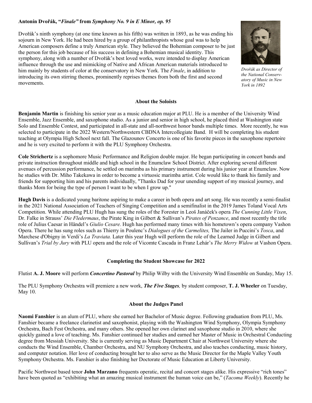#### **Antonín Dvořák, "***Finale"* **from** *Symphony No. 9 in E Minor, op. 95*

Dvořák's ninth symphony (at one time known as his fifth) was written in 1893, as he was ending his sojourn in New York. He had been hired by a group of philanthropists whose goal was to help American composers define a truly American style. They believed the Bohemian composer to be just the person for this job because of his success in defining a Bohemian musical identity. This symphony, along with a number of Dvořák's best loved works, were intended to display American influence through the use and mimicking of Native and African American materials introduced to him mainly by students of color at the conservatory in New York. The *Finale*, in addition to introducing its own stirring themes, prominently reprises themes from both the first and second movements.



*Dvořák as Director of the National Conservatory of Music in New York in 1892*

#### **About the Soloists**

**Benjamin Martin** is finishing his senior year as a music education major at PLU. He is a member of the University Wind Ensemble, Jazz Ensemble, and saxophone studio. As a junior and senior in high school, he placed third at Washington state Solo and Ensemble Contest, and participated in all-state and all-northwest honor bands multiple times. More recently, he was selected to participate in the 2022 Western/Northwestern CBDNA Intercollegiate Band. H will be completing his student teaching at Olympia High School next fall. The Glazounov Concerto is one of his favorite pieces in the saxophone repertoire and he is very excited to perform it with the PLU Symphony Orchestra.

**Cole Strichertz** is a sophomore Music Performance and Religion double major. He began participating in concert bands and private instruction throughout middle and high school in the Enumclaw School District. After exploring several different avenues of percussion performance, he settled on marimba as his primary instrument during his junior year at Enumclaw. Now he studies with Dr. Miho Takekawa in order to become a virtuosic marimba artist. Cole would like to thank his family and friends for supporting him and his parents individually, "Thanks Dad for your unending support of my musical journey, and thanks Mom for being the type of person I want to be when I grow up."

**Hugh Davis** is a dedicated young baritone aspiring to make a career in both opera and art song. He was recently a semi-finalist in the 2021 National Association of Teachers of Singing Competition and a semifinalist in the 2019 James Toland Vocal Arts Competition. While attending PLU Hugh has sung the roles of the Forester in Leoš Janáček's opera *The Cunning Little Vixen*, Dr. Falke in Strauss' *Die Fledermaus*, the Pirate King in Gilbert & Sullivan's *Pirates of Penzance*, and most recently the title role of Julius Caesar in Händel's *Giulio Cesare.* Hugh has performed many times with his hometown's opera company Vashon Opera. There he has sung roles such as Thierry in Poulenc's *Dialogues of the Carmelites,* The Jailer in Puccini's *Tosca*, and Marchese d'Obigny in Verdi's *La Traviata.* Later this year Hugh will perform the role of the Learned Judge in Gilbert and Sullivan's *Trial by Jury* with PLU opera and the role of Vicomte Cascada in Franz Lehár's *The Merry Widow* at Vashon Opera.

#### **Completing the Student Showcase for 2022**

Flutist **A. J. Moore** will perform *Concertino Pastoral* by Philip Wilby with the University Wind Ensemble on Sunday, May 15.

The PLU Symphony Orchestra will premiere a new work, *The Five Stages,* by student composer, **T. J. Wheeler** on Tuesday, May 10.

#### **About the Judges Panel**

**Naomi Fanshier** is an alum of PLU, where she earned her Bachelor of Music degree. Following graduation from PLU, Ms. Fanshier became a freelance clarinetist and saxophonist, playing with the Washington Wind Symphony, Olympia Symphony Orchestra, Bach Fest Orchestra, and many others. She opened her own clarinet and saxophone studio in 2010, where she quickly gained a love of teaching. Ms. Fanshier continued her studies and earned her Master of Music in Orchestral Conducting degree from Messiah University. She is currently serving as Music Department Chair at Northwest University where she conducts the Wind Ensemble, Chamber Orchestra, and NU Symphony Orchestra, and also teaches conducting, music history, and computer notation. Her love of conducting brought her to also serve as the Music Director for the Maple Valley Youth Symphony Orchestra. Ms. Fanshier is also finishing her Doctorate of Music Education at Liberty University.

Pacific Northwest based tenor **John Marzano** frequents operatic, recital and concert stages alike. His expressive "rich tones" have been quoted as "exhibiting what an amazing musical instrument the human voice can be," (*Tacoma Weekly*). Recently he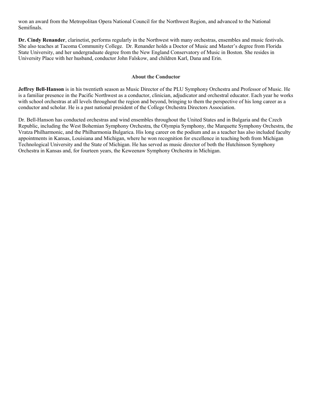won an award from the Metropolitan Opera National Council for the Northwest Region, and advanced to the National Semifinals.

**Dr. Cindy Renander**, clarinetist, performs regularly in the Northwest with many orchestras, ensembles and music festivals. She also teaches at Tacoma Community College. Dr. Renander holds a Doctor of Music and Master's degree from Florida State University, and her undergraduate degree from the New England Conservatory of Music in Boston. She resides in University Place with her husband, conductor John Falskow, and children Karl, Dana and Erin.

#### **About the Conductor**

**Jeffrey Bell-Hanson** is in his twentieth season as Music Director of the PLU Symphony Orchestra and Professor of Music. He is a familiar presence in the Pacific Northwest as a conductor, clinician, adjudicator and orchestral educator. Each year he works with school orchestras at all levels throughout the region and beyond, bringing to them the perspective of his long career as a conductor and scholar. He is a past national president of the College Orchestra Directors Association.

Dr. Bell-Hanson has conducted orchestras and wind ensembles throughout the United States and in Bulgaria and the Czech Republic, including the West Bohemian Symphony Orchestra, the Olympia Symphony, the Marquette Symphony Orchestra, the Vratza Philharmonic, and the Philharmonia Bulgarica. His long career on the podium and as a teacher has also included faculty appointments in Kansas, Louisiana and Michigan, where he won recognition for excellence in teaching both from Michigan Technological University and the State of Michigan. He has served as music director of both the Hutchinson Symphony Orchestra in Kansas and, for fourteen years, the Keweenaw Symphony Orchestra in Michigan.